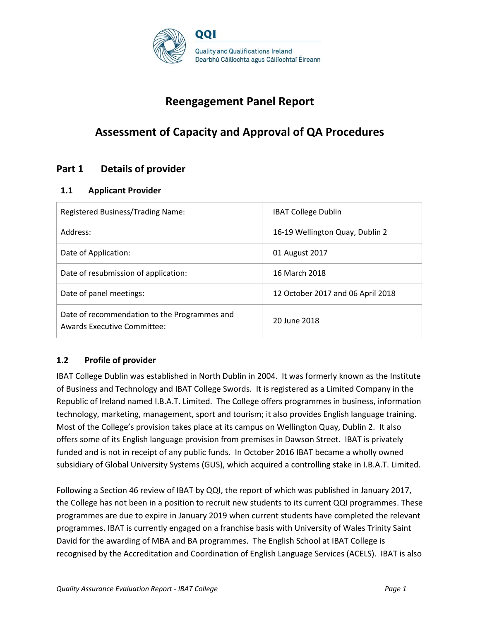

# **Reengagement Panel Report**

# **Assessment of Capacity and Approval of QA Procedures**

## **Part 1 Details of provider**

### **1.1 Applicant Provider**

| Registered Business/Trading Name:                                           | <b>IBAT College Dublin</b>        |
|-----------------------------------------------------------------------------|-----------------------------------|
| Address:                                                                    | 16-19 Wellington Quay, Dublin 2   |
| Date of Application:                                                        | 01 August 2017                    |
| Date of resubmission of application:                                        | 16 March 2018                     |
| Date of panel meetings:                                                     | 12 October 2017 and 06 April 2018 |
| Date of recommendation to the Programmes and<br>Awards Executive Committee: | 20 June 2018                      |

### **1.2 Profile of provider**

IBAT College Dublin was established in North Dublin in 2004. It was formerly known as the Institute of Business and Technology and IBAT College Swords. It is registered as a Limited Company in the Republic of Ireland named I.B.A.T. Limited. The College offers programmes in business, information technology, marketing, management, sport and tourism; it also provides English language training. Most of the College's provision takes place at its campus on Wellington Quay, Dublin 2. It also offers some of its English language provision from premises in Dawson Street. IBAT is privately funded and is not in receipt of any public funds. In October 2016 IBAT became a wholly owned subsidiary of Global University Systems (GUS), which acquired a controlling stake in I.B.A.T. Limited.

Following a Section 46 review of IBAT by QQI, the report of which was published in January 2017, the College has not been in a position to recruit new students to its current QQI programmes. These programmes are due to expire in January 2019 when current students have completed the relevant programmes. IBAT is currently engaged on a franchise basis with University of Wales Trinity Saint David for the awarding of MBA and BA programmes. The English School at IBAT College is recognised by the Accreditation and Coordination of English Language Services (ACELS). IBAT is also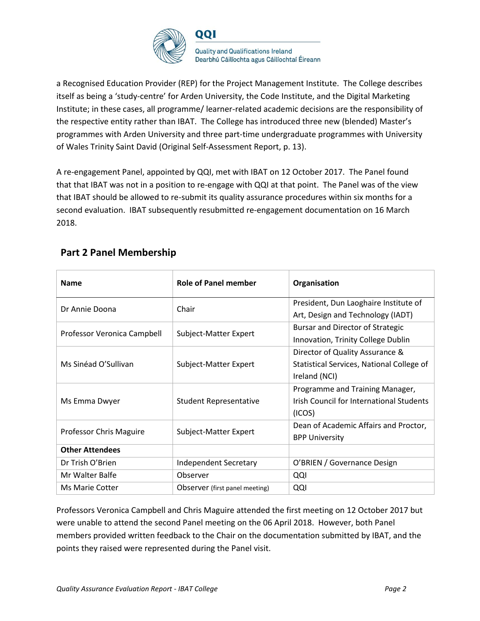

a Recognised Education Provider (REP) for the Project Management Institute. The College describes itself as being a 'study-centre' for Arden University, the Code Institute, and the Digital Marketing Institute; in these cases, all programme/ learner-related academic decisions are the responsibility of the respective entity rather than IBAT. The College has introduced three new (blended) Master's programmes with Arden University and three part-time undergraduate programmes with University of Wales Trinity Saint David (Original Self-Assessment Report, p. 13).

A re-engagement Panel, appointed by QQI, met with IBAT on 12 October 2017. The Panel found that that IBAT was not in a position to re-engage with QQI at that point. The Panel was of the view that IBAT should be allowed to re-submit its quality assurance procedures within six months for a second evaluation. IBAT subsequently resubmitted re-engagement documentation on 16 March 2018.

|  | <b>Part 2 Panel Membership</b> |
|--|--------------------------------|
|  |                                |

| <b>Name</b>                    | Role of Panel member           | Organisation                              |
|--------------------------------|--------------------------------|-------------------------------------------|
| Dr Annie Doona                 | Chair                          | President, Dun Laoghaire Institute of     |
|                                |                                | Art, Design and Technology (IADT)         |
| Professor Veronica Campbell    | Subject-Matter Expert          | Bursar and Director of Strategic          |
|                                |                                | Innovation, Trinity College Dublin        |
|                                |                                | Director of Quality Assurance &           |
| Ms Sinéad O'Sullivan           | Subject-Matter Expert          | Statistical Services, National College of |
|                                |                                | Ireland (NCI)                             |
|                                |                                | Programme and Training Manager,           |
| Ms Emma Dwyer                  | <b>Student Representative</b>  | Irish Council for International Students  |
|                                |                                | (ICOS)                                    |
| <b>Professor Chris Maguire</b> | Subject-Matter Expert          | Dean of Academic Affairs and Proctor,     |
|                                |                                | <b>BPP University</b>                     |
| <b>Other Attendees</b>         |                                |                                           |
| Dr Trish O'Brien               | <b>Independent Secretary</b>   | O'BRIEN / Governance Design               |
| Mr Walter Balfe                | Observer                       | QQI                                       |
| <b>Ms Marie Cotter</b>         | Observer (first panel meeting) | QQI                                       |

Professors Veronica Campbell and Chris Maguire attended the first meeting on 12 October 2017 but were unable to attend the second Panel meeting on the 06 April 2018. However, both Panel members provided written feedback to the Chair on the documentation submitted by IBAT, and the points they raised were represented during the Panel visit.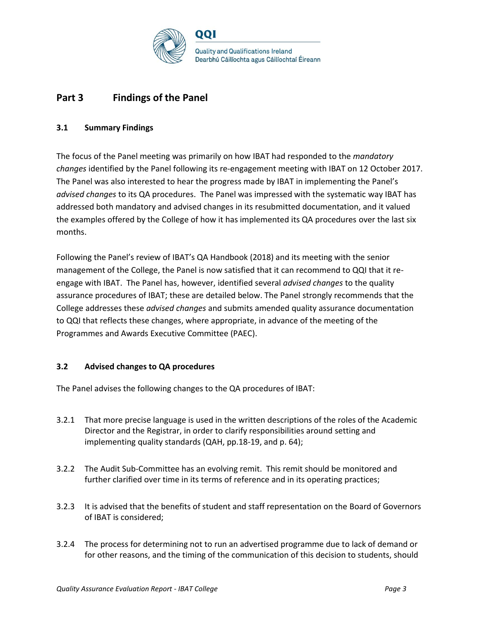

## **Part 3 Findings of the Panel**

### **3.1 Summary Findings**

The focus of the Panel meeting was primarily on how IBAT had responded to the *mandatory changes* identified by the Panel following its re-engagement meeting with IBAT on 12 October 2017. The Panel was also interested to hear the progress made by IBAT in implementing the Panel's *advised changes* to its QA procedures. The Panel was impressed with the systematic way IBAT has addressed both mandatory and advised changes in its resubmitted documentation, and it valued the examples offered by the College of how it has implemented its QA procedures over the last six months.

Following the Panel's review of IBAT's QA Handbook (2018) and its meeting with the senior management of the College, the Panel is now satisfied that it can recommend to QQI that it reengage with IBAT. The Panel has, however, identified several *advised changes* to the quality assurance procedures of IBAT; these are detailed below. The Panel strongly recommends that the College addresses these *advised changes* and submits amended quality assurance documentation to QQI that reflects these changes, where appropriate, in advance of the meeting of the Programmes and Awards Executive Committee (PAEC).

### **3.2 Advised changes to QA procedures**

The Panel advises the following changes to the QA procedures of IBAT:

- 3.2.1 That more precise language is used in the written descriptions of the roles of the Academic Director and the Registrar, in order to clarify responsibilities around setting and implementing quality standards (QAH, pp.18-19, and p. 64);
- 3.2.2 The Audit Sub-Committee has an evolving remit. This remit should be monitored and further clarified over time in its terms of reference and in its operating practices;
- 3.2.3 It is advised that the benefits of student and staff representation on the Board of Governors of IBAT is considered;
- 3.2.4 The process for determining not to run an advertised programme due to lack of demand or for other reasons, and the timing of the communication of this decision to students, should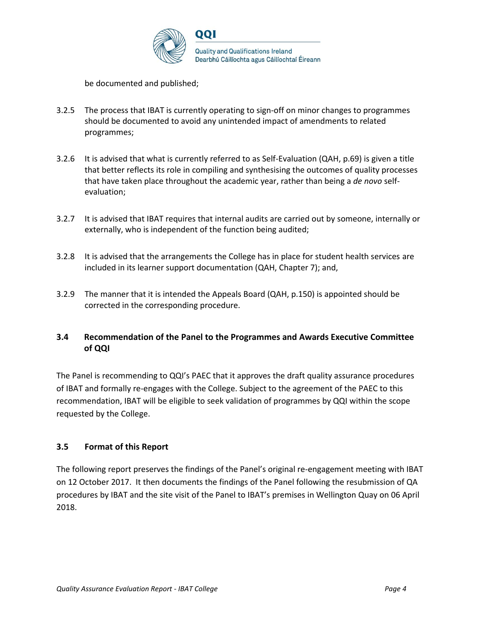

be documented and published;

- 3.2.5 The process that IBAT is currently operating to sign-off on minor changes to programmes should be documented to avoid any unintended impact of amendments to related programmes;
- 3.2.6 It is advised that what is currently referred to as Self-Evaluation (QAH, p.69) is given a title that better reflects its role in compiling and synthesising the outcomes of quality processes that have taken place throughout the academic year, rather than being a *de novo* selfevaluation;
- 3.2.7 It is advised that IBAT requires that internal audits are carried out by someone, internally or externally, who is independent of the function being audited;
- 3.2.8 It is advised that the arrangements the College has in place for student health services are included in its learner support documentation (QAH, Chapter 7); and,
- 3.2.9 The manner that it is intended the Appeals Board (QAH, p.150) is appointed should be corrected in the corresponding procedure.

### **3.4 Recommendation of the Panel to the Programmes and Awards Executive Committee of QQI**

The Panel is recommending to QQI's PAEC that it approves the draft quality assurance procedures of IBAT and formally re-engages with the College. Subject to the agreement of the PAEC to this recommendation, IBAT will be eligible to seek validation of programmes by QQI within the scope requested by the College.

### **3.5 Format of this Report**

The following report preserves the findings of the Panel's original re-engagement meeting with IBAT on 12 October 2017. It then documents the findings of the Panel following the resubmission of QA procedures by IBAT and the site visit of the Panel to IBAT's premises in Wellington Quay on 06 April 2018.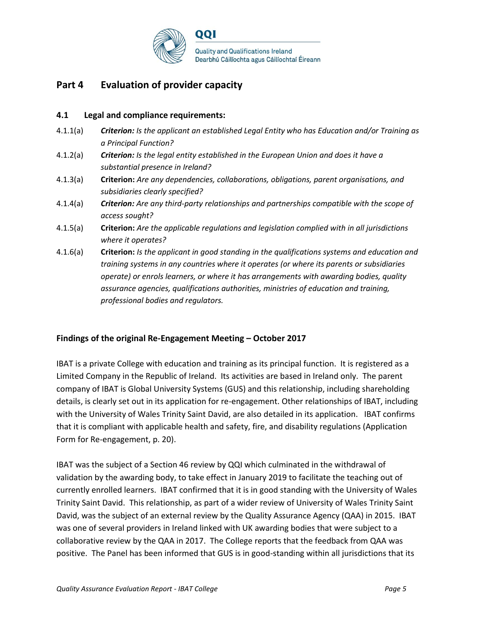

## **Part 4 Evaluation of provider capacity**

### **4.1 Legal and compliance requirements:**

- 4.1.1(a) *Criterion: Is the applicant an established Legal Entity who has Education and/or Training as a Principal Function?*
- 4.1.2(a) *Criterion: Is the legal entity established in the European Union and does it have a substantial presence in Ireland?*
- 4.1.3(a) **Criterion:** *Are any dependencies, collaborations, obligations, parent organisations, and subsidiaries clearly specified?*
- 4.1.4(a) *Criterion: Are any third-party relationships and partnerships compatible with the scope of access sought?*
- 4.1.5(a) **Criterion:** *Are the applicable regulations and legislation complied with in all jurisdictions where it operates?*
- 4.1.6(a) **Criterion:** *Is the applicant in good standing in the qualifications systems and education and training systems in any countries where it operates (or where its parents or subsidiaries operate) or enrols learners, or where it has arrangements with awarding bodies, quality assurance agencies, qualifications authorities, ministries of education and training, professional bodies and regulators.*

### **Findings of the original Re-Engagement Meeting – October 2017**

IBAT is a private College with education and training as its principal function. It is registered as a Limited Company in the Republic of Ireland. Its activities are based in Ireland only. The parent company of IBAT is Global University Systems (GUS) and this relationship, including shareholding details, is clearly set out in its application for re-engagement. Other relationships of IBAT, including with the University of Wales Trinity Saint David, are also detailed in its application. IBAT confirms that it is compliant with applicable health and safety, fire, and disability regulations (Application Form for Re-engagement, p. 20).

IBAT was the subject of a Section 46 review by QQI which culminated in the withdrawal of validation by the awarding body, to take effect in January 2019 to facilitate the teaching out of currently enrolled learners. IBAT confirmed that it is in good standing with the University of Wales Trinity Saint David. This relationship, as part of a wider review of University of Wales Trinity Saint David, was the subject of an external review by the Quality Assurance Agency (QAA) in 2015. IBAT was one of several providers in Ireland linked with UK awarding bodies that were subject to a collaborative review by the QAA in 2017. The College reports that the feedback from QAA was positive. The Panel has been informed that GUS is in good-standing within all jurisdictions that its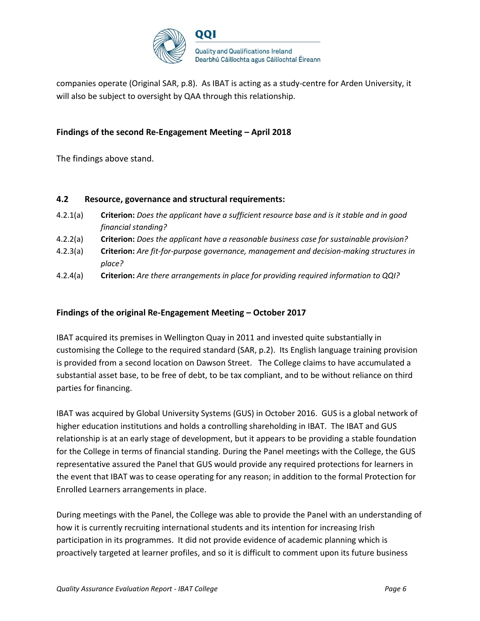

companies operate (Original SAR, p.8). As IBAT is acting as a study-centre for Arden University, it will also be subject to oversight by QAA through this relationship.

### **Findings of the second Re-Engagement Meeting – April 2018**

The findings above stand.

### **4.2 Resource, governance and structural requirements:**

- 4.2.1(a) **Criterion:** *Does the applicant have a sufficient resource base and is it stable and in good financial standing?*
- 4.2.2(a) **Criterion:** *Does the applicant have a reasonable business case for sustainable provision?*
- 4.2.3(a) **Criterion:** *Are fit-for-purpose governance, management and decision-making structures in place?*
- 4.2.4(a) **Criterion:** *Are there arrangements in place for providing required information to QQI?*

### **Findings of the original Re-Engagement Meeting – October 2017**

IBAT acquired its premises in Wellington Quay in 2011 and invested quite substantially in customising the College to the required standard (SAR, p.2). Its English language training provision is provided from a second location on Dawson Street. The College claims to have accumulated a substantial asset base, to be free of debt, to be tax compliant, and to be without reliance on third parties for financing.

IBAT was acquired by Global University Systems (GUS) in October 2016. GUS is a global network of higher education institutions and holds a controlling shareholding in IBAT. The IBAT and GUS relationship is at an early stage of development, but it appears to be providing a stable foundation for the College in terms of financial standing. During the Panel meetings with the College, the GUS representative assured the Panel that GUS would provide any required protections for learners in the event that IBAT was to cease operating for any reason; in addition to the formal Protection for Enrolled Learners arrangements in place.

During meetings with the Panel, the College was able to provide the Panel with an understanding of how it is currently recruiting international students and its intention for increasing Irish participation in its programmes. It did not provide evidence of academic planning which is proactively targeted at learner profiles, and so it is difficult to comment upon its future business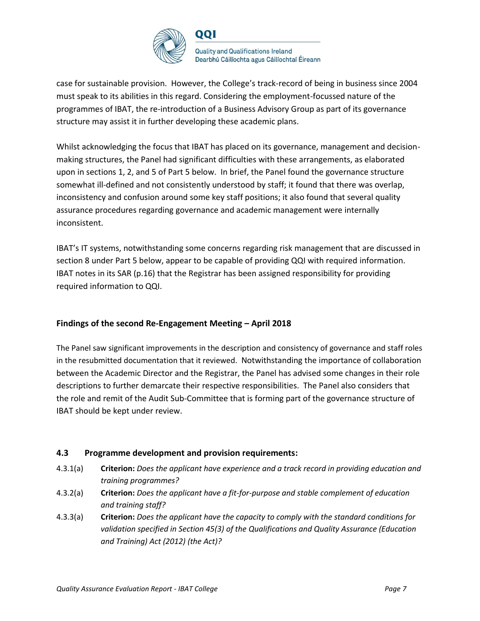

case for sustainable provision. However, the College's track-record of being in business since 2004 must speak to its abilities in this regard. Considering the employment-focussed nature of the programmes of IBAT, the re-introduction of a Business Advisory Group as part of its governance structure may assist it in further developing these academic plans.

Whilst acknowledging the focus that IBAT has placed on its governance, management and decisionmaking structures, the Panel had significant difficulties with these arrangements, as elaborated upon in sections 1, 2, and 5 of Part 5 below. In brief, the Panel found the governance structure somewhat ill-defined and not consistently understood by staff; it found that there was overlap, inconsistency and confusion around some key staff positions; it also found that several quality assurance procedures regarding governance and academic management were internally inconsistent.

IBAT's IT systems, notwithstanding some concerns regarding risk management that are discussed in section 8 under Part 5 below, appear to be capable of providing QQI with required information. IBAT notes in its SAR (p.16) that the Registrar has been assigned responsibility for providing required information to QQI.

### **Findings of the second Re-Engagement Meeting – April 2018**

The Panel saw significant improvements in the description and consistency of governance and staff roles in the resubmitted documentation that it reviewed. Notwithstanding the importance of collaboration between the Academic Director and the Registrar, the Panel has advised some changes in their role descriptions to further demarcate their respective responsibilities. The Panel also considers that the role and remit of the Audit Sub-Committee that is forming part of the governance structure of IBAT should be kept under review.

### **4.3 Programme development and provision requirements:**

- 4.3.1(a) **Criterion:** *Does the applicant have experience and a track record in providing education and training programmes?*
- 4.3.2(a) **Criterion:** *Does the applicant have a fit-for-purpose and stable complement of education and training staff?*
- 4.3.3(a) **Criterion:** *Does the applicant have the capacity to comply with the standard conditions for validation specified in Section 45(3) of the Qualifications and Quality Assurance (Education and Training) Act (2012) (the Act)?*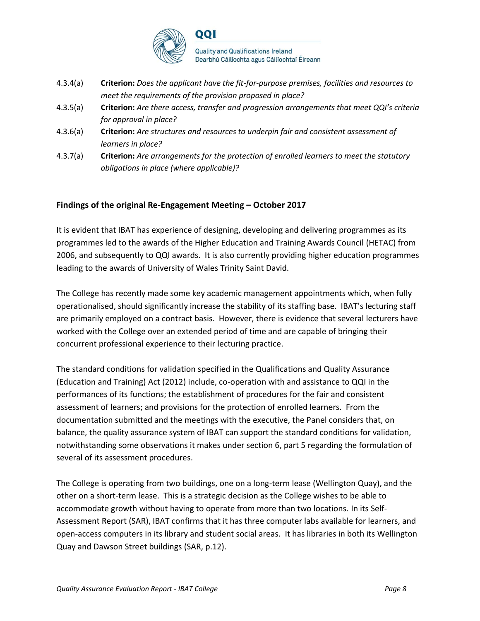

- 4.3.4(a) **Criterion:** *Does the applicant have the fit-for-purpose premises, facilities and resources to meet the requirements of the provision proposed in place?*
- 4.3.5(a) **Criterion:** *Are there access, transfer and progression arrangements that meet QQI's criteria for approval in place?*
- 4.3.6(a) **Criterion:** *Are structures and resources to underpin fair and consistent assessment of learners in place?*
- 4.3.7(a) **Criterion:** *Are arrangements for the protection of enrolled learners to meet the statutory obligations in place (where applicable)?*

### **Findings of the original Re-Engagement Meeting – October 2017**

It is evident that IBAT has experience of designing, developing and delivering programmes as its programmes led to the awards of the Higher Education and Training Awards Council (HETAC) from 2006, and subsequently to QQI awards. It is also currently providing higher education programmes leading to the awards of University of Wales Trinity Saint David.

The College has recently made some key academic management appointments which, when fully operationalised, should significantly increase the stability of its staffing base. IBAT's lecturing staff are primarily employed on a contract basis. However, there is evidence that several lecturers have worked with the College over an extended period of time and are capable of bringing their concurrent professional experience to their lecturing practice.

The standard conditions for validation specified in the Qualifications and Quality Assurance (Education and Training) Act (2012) include, co-operation with and assistance to QQI in the performances of its functions; the establishment of procedures for the fair and consistent assessment of learners; and provisions for the protection of enrolled learners. From the documentation submitted and the meetings with the executive, the Panel considers that, on balance, the quality assurance system of IBAT can support the standard conditions for validation, notwithstanding some observations it makes under section 6, part 5 regarding the formulation of several of its assessment procedures.

The College is operating from two buildings, one on a long-term lease (Wellington Quay), and the other on a short-term lease. This is a strategic decision as the College wishes to be able to accommodate growth without having to operate from more than two locations. In its Self-Assessment Report (SAR), IBAT confirms that it has three computer labs available for learners, and open-access computers in its library and student social areas. It has libraries in both its Wellington Quay and Dawson Street buildings (SAR, p.12).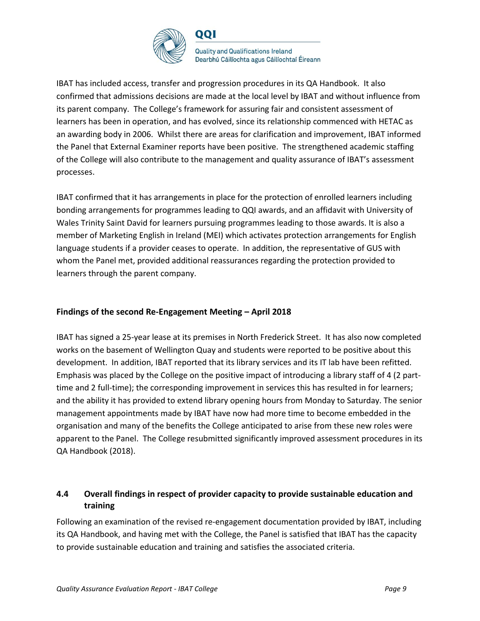

IBAT has included access, transfer and progression procedures in its QA Handbook. It also confirmed that admissions decisions are made at the local level by IBAT and without influence from its parent company. The College's framework for assuring fair and consistent assessment of learners has been in operation, and has evolved, since its relationship commenced with HETAC as an awarding body in 2006. Whilst there are areas for clarification and improvement, IBAT informed the Panel that External Examiner reports have been positive. The strengthened academic staffing of the College will also contribute to the management and quality assurance of IBAT's assessment processes.

IBAT confirmed that it has arrangements in place for the protection of enrolled learners including bonding arrangements for programmes leading to QQI awards, and an affidavit with University of Wales Trinity Saint David for learners pursuing programmes leading to those awards. It is also a member of Marketing English in Ireland (MEI) which activates protection arrangements for English language students if a provider ceases to operate. In addition, the representative of GUS with whom the Panel met, provided additional reassurances regarding the protection provided to learners through the parent company.

### **Findings of the second Re-Engagement Meeting – April 2018**

IBAT has signed a 25-year lease at its premises in North Frederick Street. It has also now completed works on the basement of Wellington Quay and students were reported to be positive about this development. In addition, IBAT reported that its library services and its IT lab have been refitted. Emphasis was placed by the College on the positive impact of introducing a library staff of 4 (2 parttime and 2 full-time); the corresponding improvement in services this has resulted in for learners; and the ability it has provided to extend library opening hours from Monday to Saturday. The senior management appointments made by IBAT have now had more time to become embedded in the organisation and many of the benefits the College anticipated to arise from these new roles were apparent to the Panel. The College resubmitted significantly improved assessment procedures in its QA Handbook (2018).

### **4.4 Overall findings in respect of provider capacity to provide sustainable education and training**

Following an examination of the revised re-engagement documentation provided by IBAT, including its QA Handbook, and having met with the College, the Panel is satisfied that IBAT has the capacity to provide sustainable education and training and satisfies the associated criteria.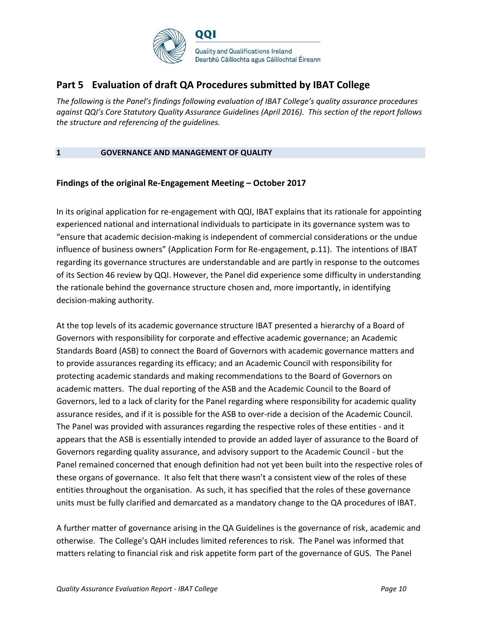

## **Part 5 Evaluation of draft QA Procedures submitted by IBAT College**

*The following is the Panel's findings following evaluation of IBAT College's quality assurance procedures against QQI's Core Statutory Quality Assurance Guidelines (April 2016). This section of the report follows the structure and referencing of the guidelines.* 

### **1 GOVERNANCE AND MANAGEMENT OF QUALITY**

### **Findings of the original Re-Engagement Meeting – October 2017**

In its original application for re-engagement with QQI, IBAT explains that its rationale for appointing experienced national and international individuals to participate in its governance system was to "ensure that academic decision-making is independent of commercial considerations or the undue influence of business owners" (Application Form for Re-engagement, p.11). The intentions of IBAT regarding its governance structures are understandable and are partly in response to the outcomes of its Section 46 review by QQI. However, the Panel did experience some difficulty in understanding the rationale behind the governance structure chosen and, more importantly, in identifying decision-making authority.

At the top levels of its academic governance structure IBAT presented a hierarchy of a Board of Governors with responsibility for corporate and effective academic governance; an Academic Standards Board (ASB) to connect the Board of Governors with academic governance matters and to provide assurances regarding its efficacy; and an Academic Council with responsibility for protecting academic standards and making recommendations to the Board of Governors on academic matters. The dual reporting of the ASB and the Academic Council to the Board of Governors, led to a lack of clarity for the Panel regarding where responsibility for academic quality assurance resides, and if it is possible for the ASB to over-ride a decision of the Academic Council. The Panel was provided with assurances regarding the respective roles of these entities - and it appears that the ASB is essentially intended to provide an added layer of assurance to the Board of Governors regarding quality assurance, and advisory support to the Academic Council - but the Panel remained concerned that enough definition had not yet been built into the respective roles of these organs of governance. It also felt that there wasn't a consistent view of the roles of these entities throughout the organisation. As such, it has specified that the roles of these governance units must be fully clarified and demarcated as a mandatory change to the QA procedures of IBAT.

A further matter of governance arising in the QA Guidelines is the governance of risk, academic and otherwise. The College's QAH includes limited references to risk. The Panel was informed that matters relating to financial risk and risk appetite form part of the governance of GUS. The Panel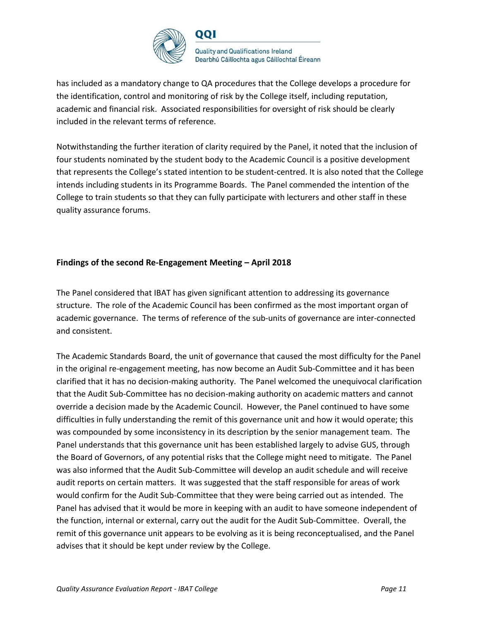

has included as a mandatory change to QA procedures that the College develops a procedure for the identification, control and monitoring of risk by the College itself, including reputation, academic and financial risk. Associated responsibilities for oversight of risk should be clearly included in the relevant terms of reference.

Notwithstanding the further iteration of clarity required by the Panel, it noted that the inclusion of four students nominated by the student body to the Academic Council is a positive development that represents the College's stated intention to be student-centred. It is also noted that the College intends including students in its Programme Boards. The Panel commended the intention of the College to train students so that they can fully participate with lecturers and other staff in these quality assurance forums.

### **Findings of the second Re-Engagement Meeting – April 2018**

The Panel considered that IBAT has given significant attention to addressing its governance structure. The role of the Academic Council has been confirmed as the most important organ of academic governance. The terms of reference of the sub-units of governance are inter-connected and consistent.

The Academic Standards Board, the unit of governance that caused the most difficulty for the Panel in the original re-engagement meeting, has now become an Audit Sub-Committee and it has been clarified that it has no decision-making authority. The Panel welcomed the unequivocal clarification that the Audit Sub-Committee has no decision-making authority on academic matters and cannot override a decision made by the Academic Council. However, the Panel continued to have some difficulties in fully understanding the remit of this governance unit and how it would operate; this was compounded by some inconsistency in its description by the senior management team. The Panel understands that this governance unit has been established largely to advise GUS, through the Board of Governors, of any potential risks that the College might need to mitigate. The Panel was also informed that the Audit Sub-Committee will develop an audit schedule and will receive audit reports on certain matters. It was suggested that the staff responsible for areas of work would confirm for the Audit Sub-Committee that they were being carried out as intended. The Panel has advised that it would be more in keeping with an audit to have someone independent of the function, internal or external, carry out the audit for the Audit Sub-Committee. Overall, the remit of this governance unit appears to be evolving as it is being reconceptualised, and the Panel advises that it should be kept under review by the College.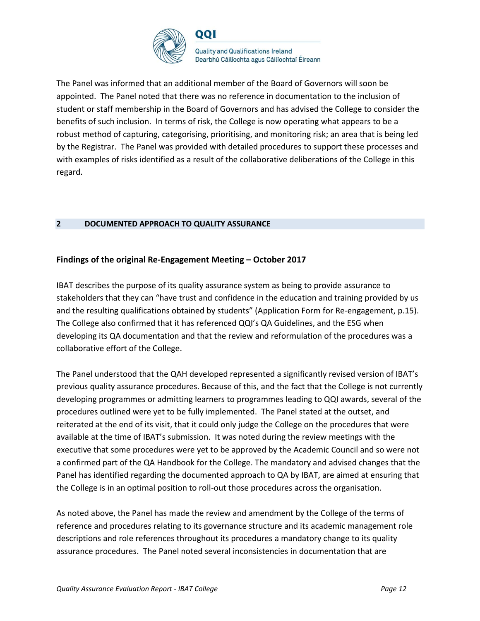

The Panel was informed that an additional member of the Board of Governors will soon be appointed. The Panel noted that there was no reference in documentation to the inclusion of student or staff membership in the Board of Governors and has advised the College to consider the benefits of such inclusion. In terms of risk, the College is now operating what appears to be a robust method of capturing, categorising, prioritising, and monitoring risk; an area that is being led by the Registrar. The Panel was provided with detailed procedures to support these processes and with examples of risks identified as a result of the collaborative deliberations of the College in this regard.

### **2 DOCUMENTED APPROACH TO QUALITY ASSURANCE**

### **Findings of the original Re-Engagement Meeting – October 2017**

IBAT describes the purpose of its quality assurance system as being to provide assurance to stakeholders that they can "have trust and confidence in the education and training provided by us and the resulting qualifications obtained by students" (Application Form for Re-engagement, p.15). The College also confirmed that it has referenced QQI's QA Guidelines, and the ESG when developing its QA documentation and that the review and reformulation of the procedures was a collaborative effort of the College.

The Panel understood that the QAH developed represented a significantly revised version of IBAT's previous quality assurance procedures. Because of this, and the fact that the College is not currently developing programmes or admitting learners to programmes leading to QQI awards, several of the procedures outlined were yet to be fully implemented. The Panel stated at the outset, and reiterated at the end of its visit, that it could only judge the College on the procedures that were available at the time of IBAT's submission. It was noted during the review meetings with the executive that some procedures were yet to be approved by the Academic Council and so were not a confirmed part of the QA Handbook for the College. The mandatory and advised changes that the Panel has identified regarding the documented approach to QA by IBAT, are aimed at ensuring that the College is in an optimal position to roll-out those procedures across the organisation.

As noted above, the Panel has made the review and amendment by the College of the terms of reference and procedures relating to its governance structure and its academic management role descriptions and role references throughout its procedures a mandatory change to its quality assurance procedures. The Panel noted several inconsistencies in documentation that are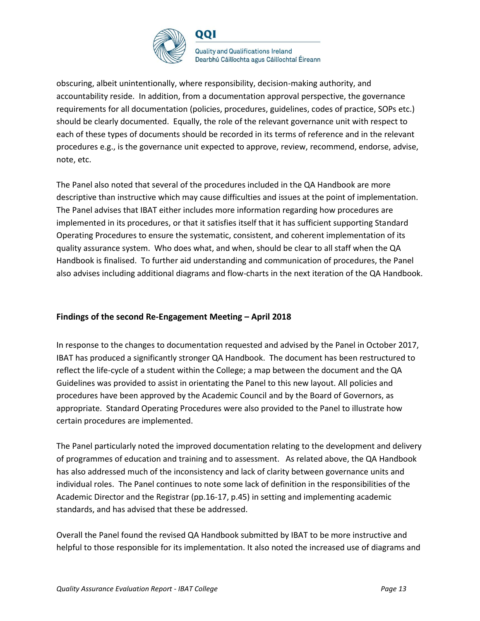

obscuring, albeit unintentionally, where responsibility, decision-making authority, and accountability reside. In addition, from a documentation approval perspective, the governance requirements for all documentation (policies, procedures, guidelines, codes of practice, SOPs etc.) should be clearly documented. Equally, the role of the relevant governance unit with respect to each of these types of documents should be recorded in its terms of reference and in the relevant procedures e.g., is the governance unit expected to approve, review, recommend, endorse, advise, note, etc.

The Panel also noted that several of the procedures included in the QA Handbook are more descriptive than instructive which may cause difficulties and issues at the point of implementation. The Panel advises that IBAT either includes more information regarding how procedures are implemented in its procedures, or that it satisfies itself that it has sufficient supporting Standard Operating Procedures to ensure the systematic, consistent, and coherent implementation of its quality assurance system. Who does what, and when, should be clear to all staff when the QA Handbook is finalised. To further aid understanding and communication of procedures, the Panel also advises including additional diagrams and flow-charts in the next iteration of the QA Handbook.

### **Findings of the second Re-Engagement Meeting – April 2018**

In response to the changes to documentation requested and advised by the Panel in October 2017, IBAT has produced a significantly stronger QA Handbook. The document has been restructured to reflect the life-cycle of a student within the College; a map between the document and the QA Guidelines was provided to assist in orientating the Panel to this new layout. All policies and procedures have been approved by the Academic Council and by the Board of Governors, as appropriate. Standard Operating Procedures were also provided to the Panel to illustrate how certain procedures are implemented.

The Panel particularly noted the improved documentation relating to the development and delivery of programmes of education and training and to assessment. As related above, the QA Handbook has also addressed much of the inconsistency and lack of clarity between governance units and individual roles. The Panel continues to note some lack of definition in the responsibilities of the Academic Director and the Registrar (pp.16-17, p.45) in setting and implementing academic standards, and has advised that these be addressed.

Overall the Panel found the revised QA Handbook submitted by IBAT to be more instructive and helpful to those responsible for its implementation. It also noted the increased use of diagrams and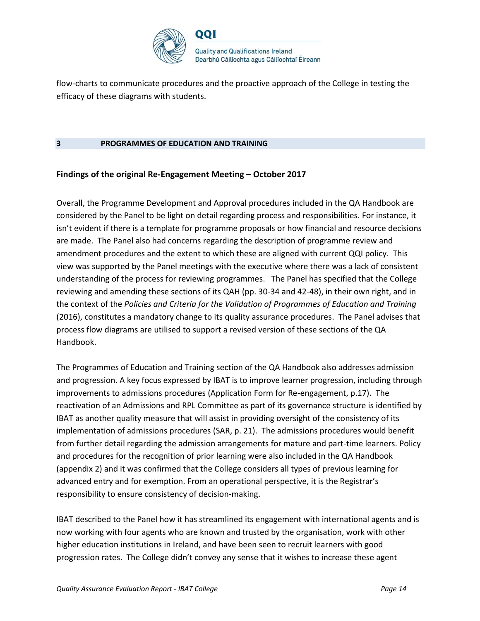

flow-charts to communicate procedures and the proactive approach of the College in testing the efficacy of these diagrams with students.

#### **3 PROGRAMMES OF EDUCATION AND TRAINING**

### **Findings of the original Re-Engagement Meeting – October 2017**

Overall, the Programme Development and Approval procedures included in the QA Handbook are considered by the Panel to be light on detail regarding process and responsibilities. For instance, it isn't evident if there is a template for programme proposals or how financial and resource decisions are made. The Panel also had concerns regarding the description of programme review and amendment procedures and the extent to which these are aligned with current QQI policy. This view was supported by the Panel meetings with the executive where there was a lack of consistent understanding of the process for reviewing programmes. The Panel has specified that the College reviewing and amending these sections of its QAH (pp. 30-34 and 42-48), in their own right, and in the context of the *Policies and Criteria for the Validation of Programmes of Education and Training*  (2016), constitutes a mandatory change to its quality assurance procedures. The Panel advises that process flow diagrams are utilised to support a revised version of these sections of the QA Handbook.

The Programmes of Education and Training section of the QA Handbook also addresses admission and progression. A key focus expressed by IBAT is to improve learner progression, including through improvements to admissions procedures (Application Form for Re-engagement, p.17). The reactivation of an Admissions and RPL Committee as part of its governance structure is identified by IBAT as another quality measure that will assist in providing oversight of the consistency of its implementation of admissions procedures (SAR, p. 21). The admissions procedures would benefit from further detail regarding the admission arrangements for mature and part-time learners. Policy and procedures for the recognition of prior learning were also included in the QA Handbook (appendix 2) and it was confirmed that the College considers all types of previous learning for advanced entry and for exemption. From an operational perspective, it is the Registrar's responsibility to ensure consistency of decision-making.

IBAT described to the Panel how it has streamlined its engagement with international agents and is now working with four agents who are known and trusted by the organisation, work with other higher education institutions in Ireland, and have been seen to recruit learners with good progression rates. The College didn't convey any sense that it wishes to increase these agent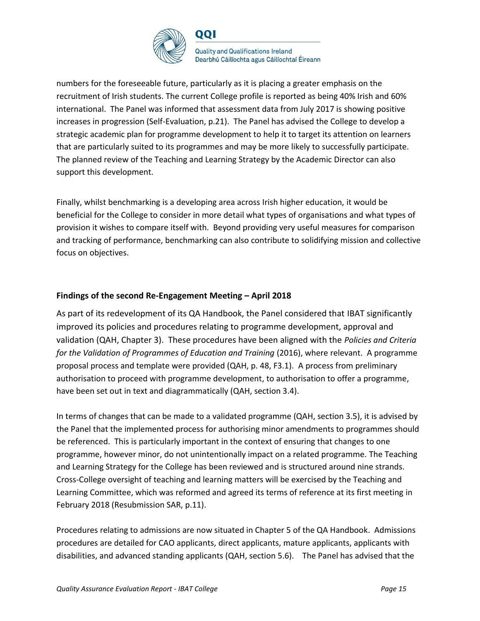

numbers for the foreseeable future, particularly as it is placing a greater emphasis on the recruitment of Irish students. The current College profile is reported as being 40% Irish and 60% international. The Panel was informed that assessment data from July 2017 is showing positive increases in progression (Self-Evaluation, p.21). The Panel has advised the College to develop a strategic academic plan for programme development to help it to target its attention on learners that are particularly suited to its programmes and may be more likely to successfully participate. The planned review of the Teaching and Learning Strategy by the Academic Director can also support this development.

Finally, whilst benchmarking is a developing area across Irish higher education, it would be beneficial for the College to consider in more detail what types of organisations and what types of provision it wishes to compare itself with. Beyond providing very useful measures for comparison and tracking of performance, benchmarking can also contribute to solidifying mission and collective focus on objectives.

### **Findings of the second Re-Engagement Meeting – April 2018**

As part of its redevelopment of its QA Handbook, the Panel considered that IBAT significantly improved its policies and procedures relating to programme development, approval and validation (QAH, Chapter 3). These procedures have been aligned with the *Policies and Criteria*  for the Validation of Programmes of Education and Training (2016), where relevant. A programme proposal process and template were provided (QAH, p. 48, F3.1). A process from preliminary authorisation to proceed with programme development, to authorisation to offer a programme, have been set out in text and diagrammatically (QAH, section 3.4).

In terms of changes that can be made to a validated programme (QAH, section 3.5), it is advised by the Panel that the implemented process for authorising minor amendments to programmes should be referenced. This is particularly important in the context of ensuring that changes to one programme, however minor, do not unintentionally impact on a related programme. The Teaching and Learning Strategy for the College has been reviewed and is structured around nine strands. Cross-College oversight of teaching and learning matters will be exercised by the Teaching and Learning Committee, which was reformed and agreed its terms of reference at its first meeting in February 2018 (Resubmission SAR, p.11).

Procedures relating to admissions are now situated in Chapter 5 of the QA Handbook. Admissions procedures are detailed for CAO applicants, direct applicants, mature applicants, applicants with disabilities, and advanced standing applicants (QAH, section 5.6). The Panel has advised that the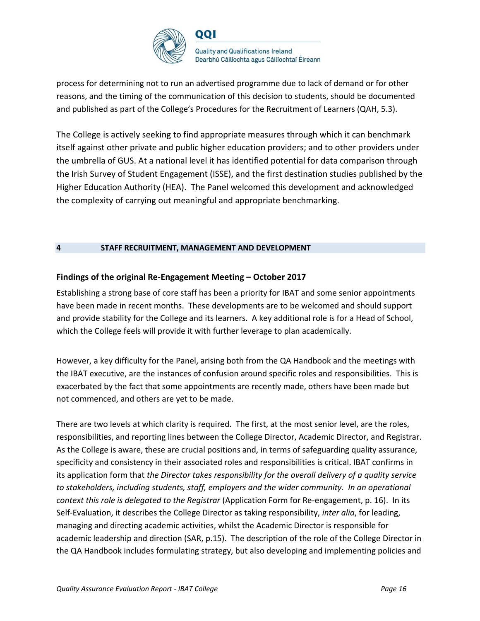

process for determining not to run an advertised programme due to lack of demand or for other reasons, and the timing of the communication of this decision to students, should be documented and published as part of the College's Procedures for the Recruitment of Learners (QAH, 5.3).

The College is actively seeking to find appropriate measures through which it can benchmark itself against other private and public higher education providers; and to other providers under the umbrella of GUS. At a national level it has identified potential for data comparison through the Irish Survey of Student Engagement (ISSE), and the first destination studies published by the Higher Education Authority (HEA). The Panel welcomed this development and acknowledged the complexity of carrying out meaningful and appropriate benchmarking.

### **4 STAFF RECRUITMENT, MANAGEMENT AND DEVELOPMENT**

### **Findings of the original Re-Engagement Meeting – October 2017**

Establishing a strong base of core staff has been a priority for IBAT and some senior appointments have been made in recent months. These developments are to be welcomed and should support and provide stability for the College and its learners. A key additional role is for a Head of School, which the College feels will provide it with further leverage to plan academically.

However, a key difficulty for the Panel, arising both from the QA Handbook and the meetings with the IBAT executive, are the instances of confusion around specific roles and responsibilities. This is exacerbated by the fact that some appointments are recently made, others have been made but not commenced, and others are yet to be made.

There are two levels at which clarity is required. The first, at the most senior level, are the roles, responsibilities, and reporting lines between the College Director, Academic Director, and Registrar. As the College is aware, these are crucial positions and, in terms of safeguarding quality assurance, specificity and consistency in their associated roles and responsibilities is critical. IBAT confirms in its application form that *the Director takes responsibility for the overall delivery of a quality service to stakeholders, including students, staff, employers and the wider community. In an operational context this role is delegated to the Registrar* (Application Form for Re-engagement, p. 16). In its Self-Evaluation, it describes the College Director as taking responsibility, *inter alia*, for leading, managing and directing academic activities, whilst the Academic Director is responsible for academic leadership and direction (SAR, p.15). The description of the role of the College Director in the QA Handbook includes formulating strategy, but also developing and implementing policies and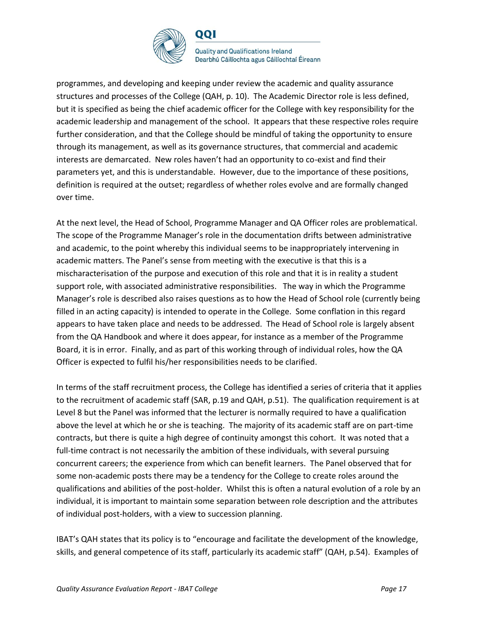

**Quality and Qualifications Ireland** Dearbhú Cáilíochta agus Cáilíochtaí Éireann

programmes, and developing and keeping under review the academic and quality assurance structures and processes of the College (QAH, p. 10). The Academic Director role is less defined, but it is specified as being the chief academic officer for the College with key responsibility for the academic leadership and management of the school. It appears that these respective roles require further consideration, and that the College should be mindful of taking the opportunity to ensure through its management, as well as its governance structures, that commercial and academic interests are demarcated. New roles haven't had an opportunity to co-exist and find their parameters yet, and this is understandable. However, due to the importance of these positions, definition is required at the outset; regardless of whether roles evolve and are formally changed over time.

At the next level, the Head of School, Programme Manager and QA Officer roles are problematical. The scope of the Programme Manager's role in the documentation drifts between administrative and academic, to the point whereby this individual seems to be inappropriately intervening in academic matters. The Panel's sense from meeting with the executive is that this is a mischaracterisation of the purpose and execution of this role and that it is in reality a student support role, with associated administrative responsibilities. The way in which the Programme Manager's role is described also raises questions as to how the Head of School role (currently being filled in an acting capacity) is intended to operate in the College. Some conflation in this regard appears to have taken place and needs to be addressed. The Head of School role is largely absent from the QA Handbook and where it does appear, for instance as a member of the Programme Board, it is in error. Finally, and as part of this working through of individual roles, how the QA Officer is expected to fulfil his/her responsibilities needs to be clarified.

In terms of the staff recruitment process, the College has identified a series of criteria that it applies to the recruitment of academic staff (SAR, p.19 and QAH, p.51). The qualification requirement is at Level 8 but the Panel was informed that the lecturer is normally required to have a qualification above the level at which he or she is teaching. The majority of its academic staff are on part-time contracts, but there is quite a high degree of continuity amongst this cohort. It was noted that a full-time contract is not necessarily the ambition of these individuals, with several pursuing concurrent careers; the experience from which can benefit learners. The Panel observed that for some non-academic posts there may be a tendency for the College to create roles around the qualifications and abilities of the post-holder. Whilst this is often a natural evolution of a role by an individual, it is important to maintain some separation between role description and the attributes of individual post-holders, with a view to succession planning.

IBAT's QAH states that its policy is to "encourage and facilitate the development of the knowledge, skills, and general competence of its staff, particularly its academic staff" (QAH, p.54). Examples of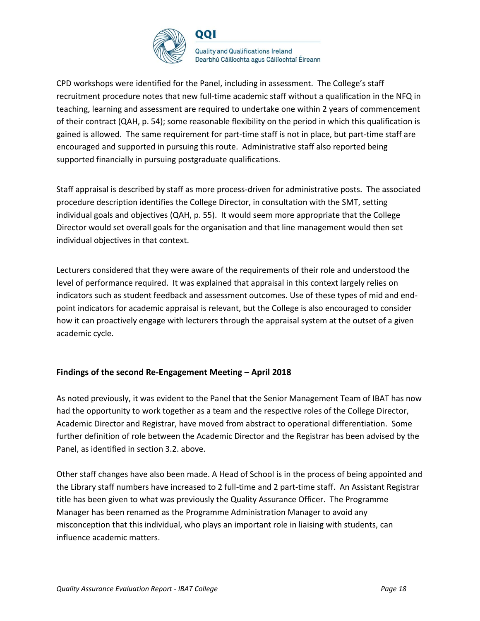

CPD workshops were identified for the Panel, including in assessment. The College's staff recruitment procedure notes that new full-time academic staff without a qualification in the NFQ in teaching, learning and assessment are required to undertake one within 2 years of commencement of their contract (QAH, p. 54); some reasonable flexibility on the period in which this qualification is gained is allowed. The same requirement for part-time staff is not in place, but part-time staff are encouraged and supported in pursuing this route. Administrative staff also reported being supported financially in pursuing postgraduate qualifications.

Staff appraisal is described by staff as more process-driven for administrative posts. The associated procedure description identifies the College Director, in consultation with the SMT, setting individual goals and objectives (QAH, p. 55). It would seem more appropriate that the College Director would set overall goals for the organisation and that line management would then set individual objectives in that context.

Lecturers considered that they were aware of the requirements of their role and understood the level of performance required. It was explained that appraisal in this context largely relies on indicators such as student feedback and assessment outcomes. Use of these types of mid and endpoint indicators for academic appraisal is relevant, but the College is also encouraged to consider how it can proactively engage with lecturers through the appraisal system at the outset of a given academic cycle.

### **Findings of the second Re-Engagement Meeting – April 2018**

As noted previously, it was evident to the Panel that the Senior Management Team of IBAT has now had the opportunity to work together as a team and the respective roles of the College Director, Academic Director and Registrar, have moved from abstract to operational differentiation. Some further definition of role between the Academic Director and the Registrar has been advised by the Panel, as identified in section 3.2. above.

Other staff changes have also been made. A Head of School is in the process of being appointed and the Library staff numbers have increased to 2 full-time and 2 part-time staff. An Assistant Registrar title has been given to what was previously the Quality Assurance Officer. The Programme Manager has been renamed as the Programme Administration Manager to avoid any misconception that this individual, who plays an important role in liaising with students, can influence academic matters.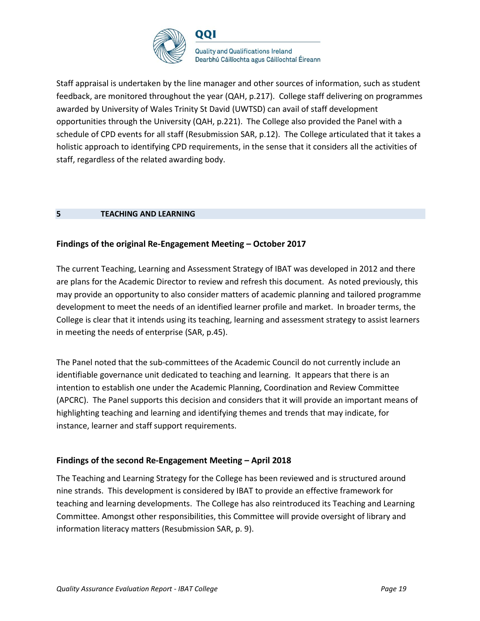

Staff appraisal is undertaken by the line manager and other sources of information, such as student feedback, are monitored throughout the year (QAH, p.217). College staff delivering on programmes awarded by University of Wales Trinity St David (UWTSD) can avail of staff development opportunities through the University (QAH, p.221). The College also provided the Panel with a schedule of CPD events for all staff (Resubmission SAR, p.12). The College articulated that it takes a holistic approach to identifying CPD requirements, in the sense that it considers all the activities of staff, regardless of the related awarding body.

### **5 TEACHING AND LEARNING**

### **Findings of the original Re-Engagement Meeting – October 2017**

The current Teaching, Learning and Assessment Strategy of IBAT was developed in 2012 and there are plans for the Academic Director to review and refresh this document. As noted previously, this may provide an opportunity to also consider matters of academic planning and tailored programme development to meet the needs of an identified learner profile and market. In broader terms, the College is clear that it intends using its teaching, learning and assessment strategy to assist learners in meeting the needs of enterprise (SAR, p.45).

The Panel noted that the sub-committees of the Academic Council do not currently include an identifiable governance unit dedicated to teaching and learning. It appears that there is an intention to establish one under the Academic Planning, Coordination and Review Committee (APCRC). The Panel supports this decision and considers that it will provide an important means of highlighting teaching and learning and identifying themes and trends that may indicate, for instance, learner and staff support requirements.

### **Findings of the second Re-Engagement Meeting – April 2018**

The Teaching and Learning Strategy for the College has been reviewed and is structured around nine strands. This development is considered by IBAT to provide an effective framework for teaching and learning developments. The College has also reintroduced its Teaching and Learning Committee. Amongst other responsibilities, this Committee will provide oversight of library and information literacy matters (Resubmission SAR, p. 9).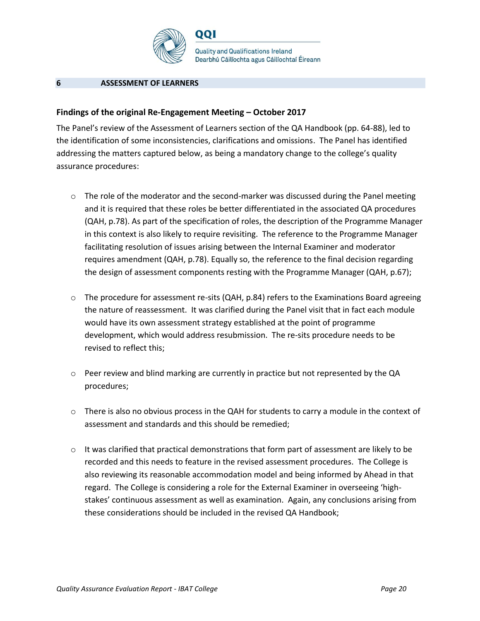

#### **6 ASSESSMENT OF LEARNERS**

#### **Findings of the original Re-Engagement Meeting – October 2017**

The Panel's review of the Assessment of Learners section of the QA Handbook (pp. 64-88), led to the identification of some inconsistencies, clarifications and omissions. The Panel has identified addressing the matters captured below, as being a mandatory change to the college's quality assurance procedures:

- $\circ$  The role of the moderator and the second-marker was discussed during the Panel meeting and it is required that these roles be better differentiated in the associated QA procedures (QAH, p.78). As part of the specification of roles, the description of the Programme Manager in this context is also likely to require revisiting. The reference to the Programme Manager facilitating resolution of issues arising between the Internal Examiner and moderator requires amendment (QAH, p.78). Equally so, the reference to the final decision regarding the design of assessment components resting with the Programme Manager (QAH, p.67);
- $\circ$  The procedure for assessment re-sits (QAH, p.84) refers to the Examinations Board agreeing the nature of reassessment. It was clarified during the Panel visit that in fact each module would have its own assessment strategy established at the point of programme development, which would address resubmission. The re-sits procedure needs to be revised to reflect this;
- $\circ$  Peer review and blind marking are currently in practice but not represented by the QA procedures;
- $\circ$  There is also no obvious process in the QAH for students to carry a module in the context of assessment and standards and this should be remedied;
- $\circ$  It was clarified that practical demonstrations that form part of assessment are likely to be recorded and this needs to feature in the revised assessment procedures. The College is also reviewing its reasonable accommodation model and being informed by Ahead in that regard. The College is considering a role for the External Examiner in overseeing 'highstakes' continuous assessment as well as examination. Again, any conclusions arising from these considerations should be included in the revised QA Handbook;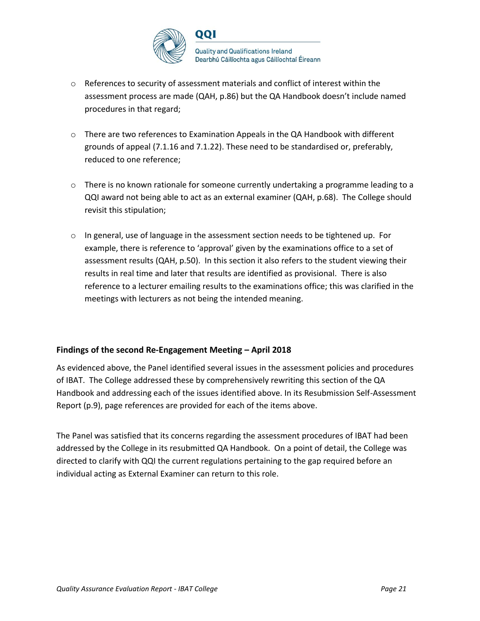

- $\circ$  References to security of assessment materials and conflict of interest within the assessment process are made (QAH, p.86) but the QA Handbook doesn't include named procedures in that regard;
- $\circ$  There are two references to Examination Appeals in the QA Handbook with different grounds of appeal (7.1.16 and 7.1.22). These need to be standardised or, preferably, reduced to one reference;
- $\circ$  There is no known rationale for someone currently undertaking a programme leading to a QQI award not being able to act as an external examiner (QAH, p.68). The College should revisit this stipulation;
- $\circ$  In general, use of language in the assessment section needs to be tightened up. For example, there is reference to 'approval' given by the examinations office to a set of assessment results (QAH, p.50). In this section it also refers to the student viewing their results in real time and later that results are identified as provisional. There is also reference to a lecturer emailing results to the examinations office; this was clarified in the meetings with lecturers as not being the intended meaning.

### **Findings of the second Re-Engagement Meeting – April 2018**

As evidenced above, the Panel identified several issues in the assessment policies and procedures of IBAT. The College addressed these by comprehensively rewriting this section of the QA Handbook and addressing each of the issues identified above. In its Resubmission Self-Assessment Report (p.9), page references are provided for each of the items above.

The Panel was satisfied that its concerns regarding the assessment procedures of IBAT had been addressed by the College in its resubmitted QA Handbook. On a point of detail, the College was directed to clarify with QQI the current regulations pertaining to the gap required before an individual acting as External Examiner can return to this role.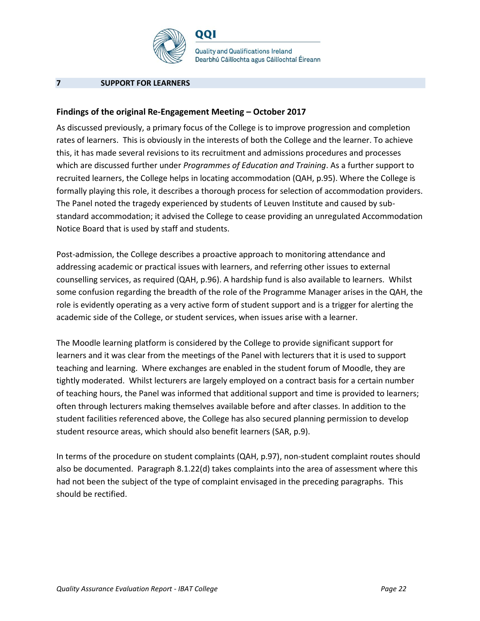

001

**Quality and Qualifications Ireland** Dearbhú Cáilíochta agus Cáilíochtaí Éireann

#### **7 SUPPORT FOR LEARNERS**

#### **Findings of the original Re-Engagement Meeting – October 2017**

As discussed previously, a primary focus of the College is to improve progression and completion rates of learners. This is obviously in the interests of both the College and the learner. To achieve this, it has made several revisions to its recruitment and admissions procedures and processes which are discussed further under *Programmes of Education and Training*. As a further support to recruited learners, the College helps in locating accommodation (QAH, p.95). Where the College is formally playing this role, it describes a thorough process for selection of accommodation providers. The Panel noted the tragedy experienced by students of Leuven Institute and caused by substandard accommodation; it advised the College to cease providing an unregulated Accommodation Notice Board that is used by staff and students.

Post-admission, the College describes a proactive approach to monitoring attendance and addressing academic or practical issues with learners, and referring other issues to external counselling services, as required (QAH, p.96). A hardship fund is also available to learners. Whilst some confusion regarding the breadth of the role of the Programme Manager arises in the QAH, the role is evidently operating as a very active form of student support and is a trigger for alerting the academic side of the College, or student services, when issues arise with a learner.

The Moodle learning platform is considered by the College to provide significant support for learners and it was clear from the meetings of the Panel with lecturers that it is used to support teaching and learning. Where exchanges are enabled in the student forum of Moodle, they are tightly moderated. Whilst lecturers are largely employed on a contract basis for a certain number of teaching hours, the Panel was informed that additional support and time is provided to learners; often through lecturers making themselves available before and after classes. In addition to the student facilities referenced above, the College has also secured planning permission to develop student resource areas, which should also benefit learners (SAR, p.9).

In terms of the procedure on student complaints (QAH, p.97), non-student complaint routes should also be documented. Paragraph 8.1.22(d) takes complaints into the area of assessment where this had not been the subject of the type of complaint envisaged in the preceding paragraphs. This should be rectified.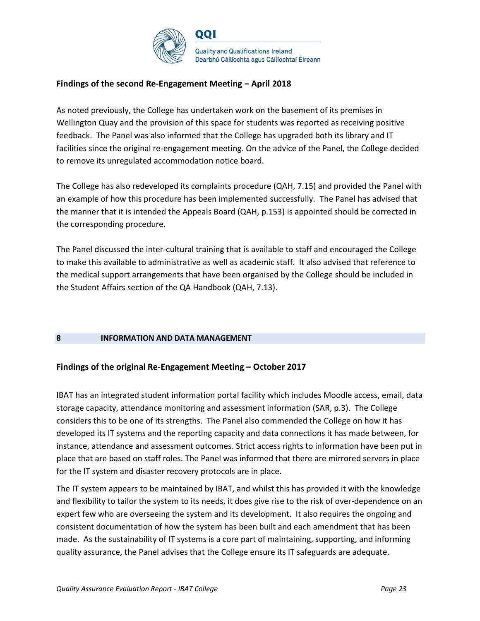

### **Findings of the second Re-Engagement Meeting – April 2018**

As noted previously, the College has undertaken work on the basement of its premises in Wellington Quay and the provision of this space for students was reported as receiving positive feedback. The Panel was also informed that the College has upgraded both its library and IT facilities since the original re-engagement meeting. On the advice of the Panel, the College decided to remove its unregulated accommodation notice board.

The College has also redeveloped its complaints procedure (QAH, 7.15) and provided the Panel with an example of how this procedure has been implemented successfully. The Panel has advised that the manner that it is intended the Appeals Board (QAH, p.153) is appointed should be corrected in the corresponding procedure.

The Panel discussed the inter-cultural training that is available to staff and encouraged the College to make this available to administrative as well as academic staff. It also advised that reference to the medical support arrangements that have been organised by the College should be included in the Student Affairs section of the QA Handbook (QAH, 7.13).

### **8 INFORMATION AND DATA MANAGEMENT**

### **Findings of the original Re-Engagement Meeting – October 2017**

IBAT has an integrated student information portal facility which includes Moodle access, email, data storage capacity, attendance monitoring and assessment information (SAR, p.3). The College considers this to be one of its strengths. The Panel also commended the College on how it has developed its IT systems and the reporting capacity and data connections it has made between, for instance, attendance and assessment outcomes. Strict access rights to information have been put in place that are based on staff roles. The Panel was informed that there are mirrored servers in place for the IT system and disaster recovery protocols are in place.

The IT system appears to be maintained by IBAT, and whilst this has provided it with the knowledge and flexibility to tailor the system to its needs, it does give rise to the risk of over-dependence on an expert few who are overseeing the system and its development. It also requires the ongoing and consistent documentation of how the system has been built and each amendment that has been made. As the sustainability of IT systems is a core part of maintaining, supporting, and informing quality assurance, the Panel advises that the College ensure its IT safeguards are adequate.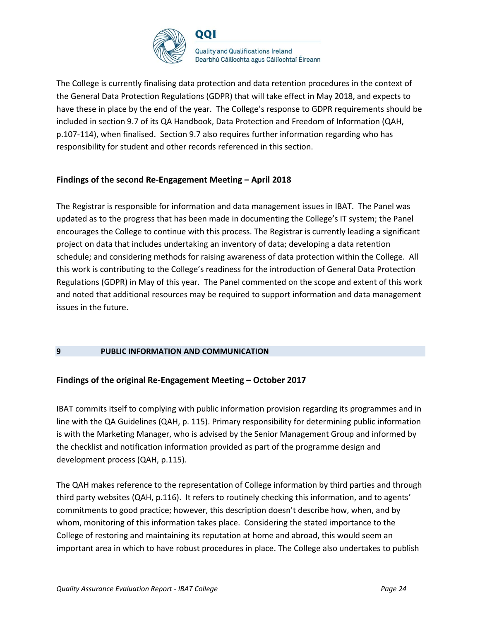

The College is currently finalising data protection and data retention procedures in the context of the General Data Protection Regulations (GDPR) that will take effect in May 2018, and expects to have these in place by the end of the year. The College's response to GDPR requirements should be included in section 9.7 of its QA Handbook, Data Protection and Freedom of Information (QAH, p.107-114), when finalised. Section 9.7 also requires further information regarding who has responsibility for student and other records referenced in this section.

### **Findings of the second Re-Engagement Meeting – April 2018**

The Registrar is responsible for information and data management issues in IBAT. The Panel was updated as to the progress that has been made in documenting the College's IT system; the Panel encourages the College to continue with this process. The Registrar is currently leading a significant project on data that includes undertaking an inventory of data; developing a data retention schedule; and considering methods for raising awareness of data protection within the College. All this work is contributing to the College's readiness for the introduction of General Data Protection Regulations (GDPR) in May of this year. The Panel commented on the scope and extent of this work and noted that additional resources may be required to support information and data management issues in the future.

### **9 PUBLIC INFORMATION AND COMMUNICATION**

### **Findings of the original Re-Engagement Meeting – October 2017**

IBAT commits itself to complying with public information provision regarding its programmes and in line with the QA Guidelines (QAH, p. 115). Primary responsibility for determining public information is with the Marketing Manager, who is advised by the Senior Management Group and informed by the checklist and notification information provided as part of the programme design and development process (QAH, p.115).

The QAH makes reference to the representation of College information by third parties and through third party websites (QAH, p.116). It refers to routinely checking this information, and to agents' commitments to good practice; however, this description doesn't describe how, when, and by whom, monitoring of this information takes place. Considering the stated importance to the College of restoring and maintaining its reputation at home and abroad, this would seem an important area in which to have robust procedures in place. The College also undertakes to publish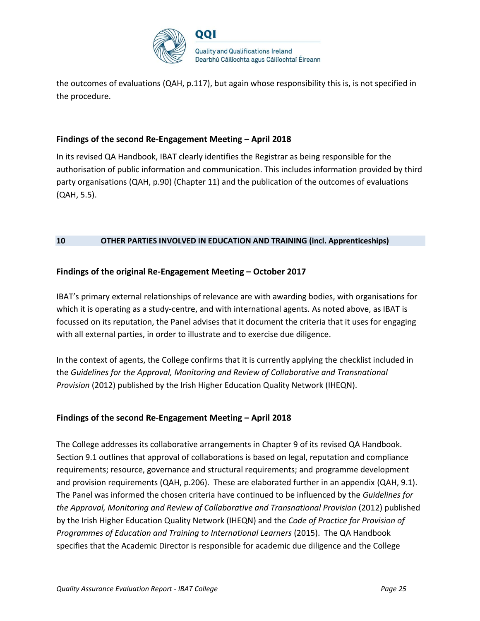

the outcomes of evaluations (QAH, p.117), but again whose responsibility this is, is not specified in the procedure.

### **Findings of the second Re-Engagement Meeting – April 2018**

In its revised QA Handbook, IBAT clearly identifies the Registrar as being responsible for the authorisation of public information and communication. This includes information provided by third party organisations (QAH, p.90) (Chapter 11) and the publication of the outcomes of evaluations (QAH, 5.5).

#### **10 OTHER PARTIES INVOLVED IN EDUCATION AND TRAINING (incl. Apprenticeships)**

### **Findings of the original Re-Engagement Meeting – October 2017**

IBAT's primary external relationships of relevance are with awarding bodies, with organisations for which it is operating as a study-centre, and with international agents. As noted above, as IBAT is focussed on its reputation, the Panel advises that it document the criteria that it uses for engaging with all external parties, in order to illustrate and to exercise due diligence.

In the context of agents, the College confirms that it is currently applying the checklist included in the *Guidelines for the Approval, Monitoring and Review of Collaborative and Transnational Provision* (2012) published by the Irish Higher Education Quality Network (IHEQN).

#### **Findings of the second Re-Engagement Meeting – April 2018**

The College addresses its collaborative arrangements in Chapter 9 of its revised QA Handbook. Section 9.1 outlines that approval of collaborations is based on legal, reputation and compliance requirements; resource, governance and structural requirements; and programme development and provision requirements (QAH, p.206). These are elaborated further in an appendix (QAH, 9.1). The Panel was informed the chosen criteria have continued to be influenced by the *Guidelines for the Approval, Monitoring and Review of Collaborative and Transnational Provision* (2012) published by the Irish Higher Education Quality Network (IHEQN) and the *Code of Practice for Provision of Programmes of Education and Training to International Learners* (2015). The QA Handbook specifies that the Academic Director is responsible for academic due diligence and the College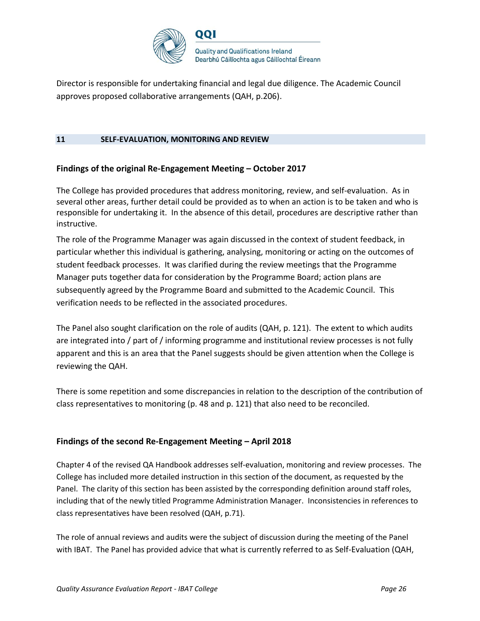

Director is responsible for undertaking financial and legal due diligence. The Academic Council approves proposed collaborative arrangements (QAH, p.206).

#### **11 SELF-EVALUATION, MONITORING AND REVIEW**

### **Findings of the original Re-Engagement Meeting – October 2017**

The College has provided procedures that address monitoring, review, and self-evaluation. As in several other areas, further detail could be provided as to when an action is to be taken and who is responsible for undertaking it. In the absence of this detail, procedures are descriptive rather than instructive.

The role of the Programme Manager was again discussed in the context of student feedback, in particular whether this individual is gathering, analysing, monitoring or acting on the outcomes of student feedback processes. It was clarified during the review meetings that the Programme Manager puts together data for consideration by the Programme Board; action plans are subsequently agreed by the Programme Board and submitted to the Academic Council. This verification needs to be reflected in the associated procedures.

The Panel also sought clarification on the role of audits (QAH, p. 121). The extent to which audits are integrated into / part of / informing programme and institutional review processes is not fully apparent and this is an area that the Panel suggests should be given attention when the College is reviewing the QAH.

There is some repetition and some discrepancies in relation to the description of the contribution of class representatives to monitoring (p. 48 and p. 121) that also need to be reconciled.

### **Findings of the second Re-Engagement Meeting – April 2018**

Chapter 4 of the revised QA Handbook addresses self-evaluation, monitoring and review processes. The College has included more detailed instruction in this section of the document, as requested by the Panel. The clarity of this section has been assisted by the corresponding definition around staff roles, including that of the newly titled Programme Administration Manager. Inconsistencies in references to class representatives have been resolved (QAH, p.71).

The role of annual reviews and audits were the subject of discussion during the meeting of the Panel with IBAT. The Panel has provided advice that what is currently referred to as Self-Evaluation (QAH,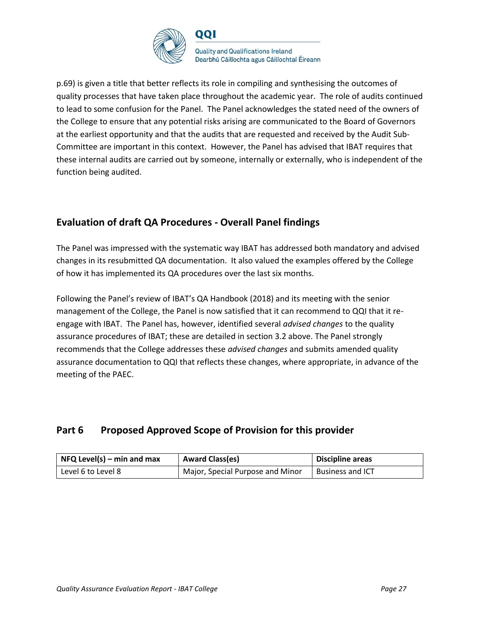

p.69) is given a title that better reflects its role in compiling and synthesising the outcomes of quality processes that have taken place throughout the academic year. The role of audits continued to lead to some confusion for the Panel. The Panel acknowledges the stated need of the owners of the College to ensure that any potential risks arising are communicated to the Board of Governors at the earliest opportunity and that the audits that are requested and received by the Audit Sub-Committee are important in this context. However, the Panel has advised that IBAT requires that these internal audits are carried out by someone, internally or externally, who is independent of the function being audited.

## **Evaluation of draft QA Procedures - Overall Panel findings**

The Panel was impressed with the systematic way IBAT has addressed both mandatory and advised changes in its resubmitted QA documentation. It also valued the examples offered by the College of how it has implemented its QA procedures over the last six months.

Following the Panel's review of IBAT's QA Handbook (2018) and its meeting with the senior management of the College, the Panel is now satisfied that it can recommend to QQI that it reengage with IBAT. The Panel has, however, identified several *advised changes* to the quality assurance procedures of IBAT; these are detailed in section 3.2 above. The Panel strongly recommends that the College addresses these *advised changes* and submits amended quality assurance documentation to QQI that reflects these changes, where appropriate, in advance of the meeting of the PAEC.

## **Part 6 Proposed Approved Scope of Provision for this provider**

| $\vert$ NFQ Level(s) – min and max | <b>Award Class(es)</b>           | <b>Discipline areas</b> |
|------------------------------------|----------------------------------|-------------------------|
| Level 6 to Level 8                 | Major, Special Purpose and Minor | <b>Business and ICT</b> |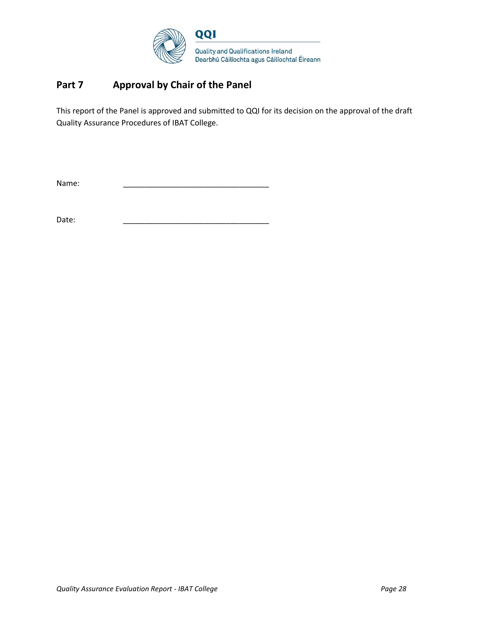

## **Part 7 Approval by Chair of the Panel**

This report of the Panel is approved and submitted to QQI for its decision on the approval of the draft Quality Assurance Procedures of IBAT College.

Name: \_\_\_\_\_\_\_\_\_\_\_\_\_\_\_\_\_\_\_\_\_\_\_\_\_\_\_\_\_\_\_\_\_\_

Date: \_\_\_\_\_\_\_\_\_\_\_\_\_\_\_\_\_\_\_\_\_\_\_\_\_\_\_\_\_\_\_\_\_\_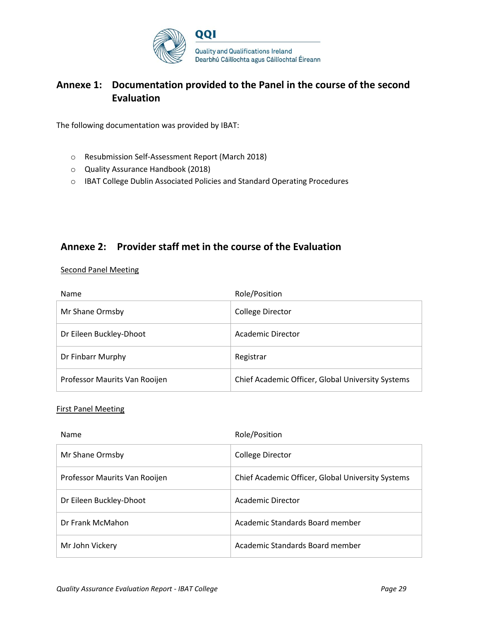

## **Annexe 1: Documentation provided to the Panel in the course of the second Evaluation**

The following documentation was provided by IBAT:

- o Resubmission Self-Assessment Report (March 2018)
- o Quality Assurance Handbook (2018)
- o IBAT College Dublin Associated Policies and Standard Operating Procedures

## **Annexe 2: Provider staff met in the course of the Evaluation**

Second Panel Meeting

| <b>Name</b>                   | Role/Position                                     |
|-------------------------------|---------------------------------------------------|
| Mr Shane Ormsby               | <b>College Director</b>                           |
| Dr Eileen Buckley-Dhoot       | Academic Director                                 |
| Dr Finbarr Murphy             | Registrar                                         |
| Professor Maurits Van Rooijen | Chief Academic Officer, Global University Systems |

#### First Panel Meeting

| <b>Name</b>                   | Role/Position                                     |
|-------------------------------|---------------------------------------------------|
| Mr Shane Ormsby               | <b>College Director</b>                           |
| Professor Maurits Van Rooijen | Chief Academic Officer, Global University Systems |
| Dr Eileen Buckley-Dhoot       | <b>Academic Director</b>                          |
| Dr Frank McMahon              | Academic Standards Board member                   |
| Mr John Vickery               | Academic Standards Board member                   |